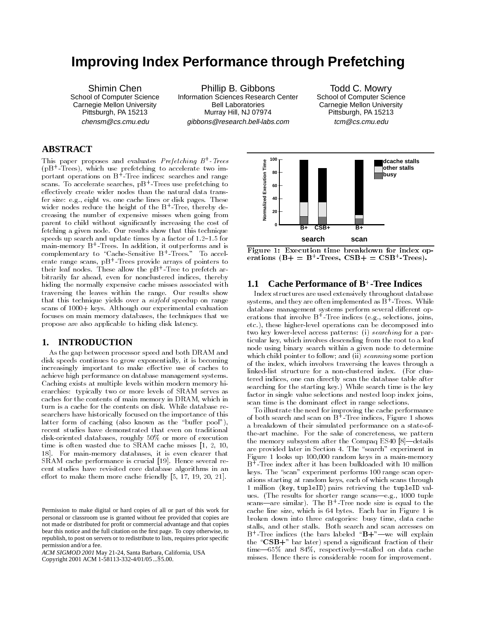# **Improving Index Performance through Prefetching**

Shimin Chen School of Computer Science Carnegie Mellon University Pittsburgh, PA 15213 chensm@cs.cmu.edu

Phillip B. Gibbons Information Sciences Research Center Bell Laboratories Murray Hill, NJ 07974 gibbons@research.bell-labs.com

Todd C. Mowry School of Computer Science Carnegie Mellon University Pittsburgh, PA 15213 tcm@cs.cmu.edu

# **ABSTRACT**

This paper proposes and evaluates Prefetching B - Irees  $(pB<sup>+</sup> - Trees)$ , which use prefetching to accelerate two im- $T_{\text{r}}$  is accelerate the preference on  $B^+$ -Tree indices: searches and range scans. To accelerate searches, pB+-frees use prefetching to effectively create wider nodes than the natural data transfer size: e.g., eight vs. one cache lines or disk pages. These wider nodes reduce the height of the B+-Iree, thereby decreasing the number of expensive misses when going from parent to child without signicantly increasing the cost of fetching a given node. Our results show that this technique speeds up search and update times by a factor of  $1.2{\text -}1.5$  for main-memory B+ -Trees. In addition, it outperforms and is complementary to \Cache-Sensitive B<sup>+</sup> -Trees." To accelerate range scans, pB+-irees provide arrays of pointers to their leaf nodes. These allow the pB+-free to prefetch arbitrarily far ahead, even for nonclustered indices, thereby hiding the normally expensive cache misses associated with traversing the leaves within the range. Our results show that this technique yields over a *sixfold* speedup on range scans of 1000+ keys. Although our experimental evaluation focuses on main memory databases, the techniques that we propose are also applicable to hiding disk latency.

## **1. INTRODUCTION**

As the gap between processor speed and both DRAM and disk speeds continues to grow exponentially, it is becoming increasingly important to make effective use of caches to achieve high performance on database management systems. Caching exists at multiple levels within modern memory hierarchies: typically two or more levels of SRAM serves as caches for the contents of main memory in DRAM, which in turn is a cache for the contents on disk. While database researchers have historically focused on the importance of this latter form of caching (also known as the "buffer pool"), recent studies have demonstrated that even on traditional disk-oriented databases, roughly 50% or more of execution time is often wasted due to SRAM cache misses [1, 2, 10, 18]. For main-memory databases, it is even clearer that SRAM cache performance is crucial [19]. Hence several recent studies have revisited core database algorithms in an effort to make them more cache friendly  $[5, 17, 19, 20, 21]$ .

*ACM SIGMOD 2001* May 21-24, Santa Barbara, California, USA

Copyright 2001 ACM 1-58113-332-4/01/05 ...\$5.00.



Figure 1: Execution time breakdown for index operations ( $B + \equiv B$  - Irees,  $CSB + \equiv CSB$  - Irees).

# **1.1 Cache Performance of B**<sup>+</sup> **-Tree Indices**

Index structures are used extensively throughout database systems, and they are often implemented as B+ - frees. While database management systems perform several different operations that involve B+ -Tree indices (e.g., selections, joins, etc.), these higher-level operations can be decomposed into two key lower-level access patterns: (i) searching for a particular key, which involves descending from the root to a leaf node using binary search within a given node to determine which child pointer to follow; and (ii) scanning some portion of the index, which involves traversing the leaves through a linked-list structure for a non-clustered index. (For clustered indices, one can directly scan the database table after searching for the starting key.) While search time is the key factor in single value selections and nested loop index joins, scan time is the dominant effect in range selections.

To illustrate the need for improving the cache performance of both search and scan on B+ -Tree indices, Figure 1 shows a breakdown of their simulated performance on a state-ofthe-art machine. For the sake of concreteness, we pattern the memory subsystem after the Compaq ES40 [8]-details are provided later in Section 4. The "search" experiment in Figure 1 looks up 100,000 random keys in a main-memory B+ -Tree index after it has been bulkloaded with 10 million keys. The "scan" experiment performs 100 range scan operations starting at random keys, each of which scans through 1 million (key, tupleID) pairs retrieving the tupleID values. (The results for shorter range scans—e.g., 1000 tuple scans—are similar). The B'-Iree node size is equal to the cache line size, which is 64 bytes. Each bar in Figure 1 is broken down into three categories: busy time, data cache stalls, and other stalls. Both search and scan accesses on  $B$  - Iree indices (the bars labeled  $\mathbf{B}+\mathbf{W}$  we will explain the " $CSB+$ " bar later) spend a significant fraction of their  $time—65\%$  and  $84\%$ , respectively—stalled on data cache misses. Hence there is considerable room for improvement.

Permission to make digital or hard copies of all or part of this work for personal or classroom use is granted without fee provided that copies are not made or distributed for profit or commercial advantage and that copies bear this notice and the full citation on the first page. To copy otherwise, to republish, to post on servers or to redistribute to lists, requires prior specific permission and/or a fee.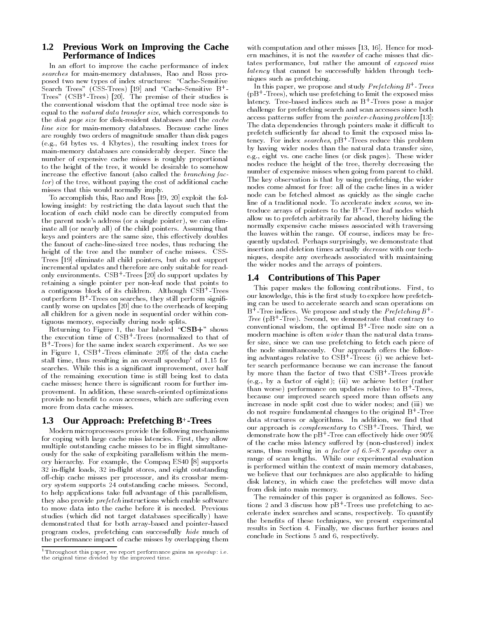## **1.2 Previous Work on Improving the Cache Performance of Indices**

In an effort to improve the cache performance of index searches for main-memory databases, Rao and Ross proposed two new types of index structures: "Cache-Sensitive Search Irees" (USS-Irees) [19] and "Uache-Sensitive B+- $Tres$  (CSB -  $Tres$ ) [20]. The premise of their studies is the conventional wisdom that the optimal tree node size is equal to the *natural data transfer size*, which corresponds to the disk page size for disk-resident databases and the cache line size for main-memory databases. Because cache lines are roughly two orders of magnitude smaller than disk pages (e.g., 64 bytes vs. 4 Kbytes), the resulting index trees for main-memory databases are considerably deeper. Since the number of expensive cache misses is roughly proportional to the height of the tree, it would be desirable to somehow increase the effective fanout (also called the *branching fac*tor) of the tree, without paying the cost of additional cache misses that this would normally imply.

To accomplish this, Rao and Ross [19, 20] exploit the following insight: by restricting the data layout such that the location of each child node can be directly computed from the parent node's address (or a single pointer), we can eliminate all (or nearly all) of the child pointers. Assuming that keys and pointers are the same size, this effectively doubles the fanout of cache-line-sized tree nodes, thus reducing the height of the tree and the number of cache misses. CSS-Trees [19] eliminate all child pointers, but do not support incremental updates and therefore are only suitable for readonly environments. USB+-Irees [20] do support updates by retaining a single pointer per non-leaf node that points to a contiguous block of its children. Although CSB+-frees outperform B+ -Trees on searches, they still perform signi cantly worse on updates [20] due to the overheads of keeping all children for a given node in sequential order within contiguous memory, especially during node splits.

Returning to Figure 1, the bar labeled " $CSB+$ " shows the execution time of CSB+ -Trees (normalized to that of B+ - Irees) for the same index search experiment. As we see in Figure 1, CSB+ -Trees eliminate 20% of the data cache stall time, thus resulting in an overall speedup<sup>1</sup> of 1.15 for searches. While this is a signicant improvement, over half of the remaining execution time is still being lost to data cache misses; hence there is signicant room for further improvement. In addition, these search-oriented optimizations provide no benefit to scan accesses, which are suffering even more from data cache misses.

# **1.3 Our Approach: Prefetching B**<sup>+</sup> **-Trees**

modern microprocessors provides the following mechanisms. for coping with large cache miss latencies. First, they allow multiple outstanding cache misses to be in flight simultaneously for the sake of exploiting parallelism within the memory hierarchy. For example, the Compaq ES40 [8] supports 32 inight loads, 32 inight stores, and eight outstanding off-chip cache misses per processor, and its crossbar memory system supports 24 outstanding cache misses. Second, to help applications take full advantage of this parallelism, they also provide prefetch instructions which enable software to move data into the cache before it is needed. Previous studies (which did not target databases specically) have demonstrated that for both array-based and pointer-based program codes, prefetching can successfully hide much of the performance impact of cache misses by overlapping them

with computation and other misses [13, 16]. Hence for modern machines, it is not the number of cache misses that dictates performance, but rather the amount of exposed miss latency that cannot be successfully hidden through techniques such as prefetching.

In this paper, we propose and study  $P$  referening  $B^+$  - Irees (pB+ -Trees), which use prefetching to limit the exposed miss latency. Tree-based indices such as B+ -Trees pose a ma jor challenge for prefetching search and scan accesses since both access patterns suffer from the *pointer-chasing problem* [13]: The data dependencies through pointers make it difficult to prefetch sufficiently far ahead to limit the exposed miss latency. For index *searches*, pB - frees reduce this problem by having wider nodes than the natural data transfer size, e.g., eight vs. one cache lines (or disk pages). These wider nodes reduce the height of the tree, thereby decreasing the number of expensive misses when going from parent to child. The key observation is that by using prefetching, the wider nodes come almost for free: all of the cache lines in a wider node can be fetched almost as quickly as the single cache line of a traditional node. To accelerate index scans, we introduce arrays of pointers to the B+-Iree leaf nodes which allow us to prefetch arbitrarily far ahead, thereby hiding the normally expensive cache misses associated with traversing the leaves within the range. Of course, indices may be frequently updated. Perhaps surprisingly, we demonstrate that insertion and deletion times actually decrease with our techniques, despite any overheads associated with maintaining the wider nodes and the arrays of pointers.

# **1.4 Contributions of This Paper**

This paper makes the following contributions. First, to our knowledge, this is the first study to explore how prefetching can be used to accelerate search and scan operations on B - Iree indices. We propose and study the *Prefetching B* Tree (pB+ - Iree). Second, we demonstrate that contrary to conventional wisdom, the optimal B+ -Tree node size on a modern machine is often wider than the natural data transfer size, since we can use prefetching to fetch each piece of the node simultaneously. Our approach offers the following advantages relative to CSB+ -Trees: (i) we achieve better search performance because we can increase the fanout by more than the factor of two that CSB+-frees provide (e.g., by a factor of eight); (ii) we achieve better (rather than worse) performance on updates relative to B' - frees, because our improved search speed more than offsets any increase in node split cost due to wider nodes; and (iii) we do not require fundamental changes to the original B<sup>+</sup> -Tree data structures or algorithms. In addition, we find that our approach is *complementary* to CSB+ - frees. Third, we demonstrate how the pB+- free can effectively hide over 90% of the cache miss latency suffered by (non-clustered) index scans, thus resulting in a factor of  $6.5{-}8.7$  speedup over a range of scan lengths. While our experimental evaluation is performed within the context of main memory databases, we believe that our techniques are also applicable to hiding disk latency, in which case the prefetches will move data from disk into main memory.

The remainder of this paper is organized as follows. Sections 2 and 3 discuss how pB+ -Trees use prefetching to accelerate index searches and scans, respectively. To quantify the benefits of these techniques, we present experimental results in Section 4. Finally, we discuss further issues and conclude in Sections 5 and 6, respectively.

 $\lceil$  Throughout this paper, we report performance gains as  $\mathit{snew}$  . i.e. the original time divided by the improved time.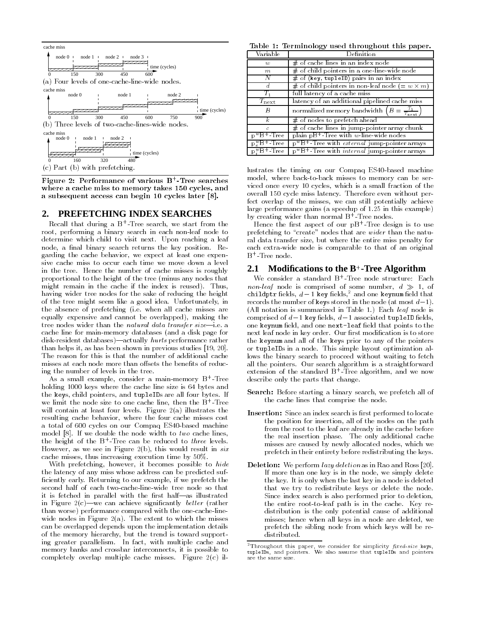

Figure 2: Performance of various B<sup>+</sup> -Tree searches where a cache miss to memory takes 150 cycles, and a subsequent access can begin 10 cycles later [8].

# **2. PREFETCHING INDEX SEARCHES**

Recall that during a B+ -Tree search, we start from the root, performing a binary search in each non-leaf node to determine which child to visit next. Upon reaching a leaf node, a final binary search returns the key position. Regarding the cache behavior, we expect at least one expensive cache miss to occur each time we move down a level in the tree. Hence the number of cache misses is roughly proportional to the height of the tree (minus any nodes that might remain in the cache if the index is reused). Thus, having wider tree nodes for the sake of reducing the height of the tree might seem like a good idea. Unfortunately, in the absence of prefetching (i.e. when all cache misses are equally expensive and cannot be overlapped), making the tree nodes wider than the natural data transfer size-i.e. a cache line for main-memory databases (and a disk page for  $disk-resident database s)$ —actually hurts performance rather than helps it, as has been shown in previous studies [19, 20]. The reason for this is that the number of additional cache misses at each node more than offsets the benefits of reducing the number of levels in the tree.

As a small example, consider a main-memory B'-Iree holding 1000 keys where the cache line size is 64 bytes and the keys, child pointers, and tupleIDs are all four bytes. If we limit the node size to one cache line, then the B'-lree will contain at least four levels. Figure  $2(a)$  illustrates the resulting cache behavior, where the four cache misses cost a total of 600 cycles on our Compaq ES40-based machine model [8]. If we double the node width to two cache lines, the height of the  $\rm B$  -lree can be reduced to *three* levels. However, as we see in Figure  $2(b)$ , this would result in  $six$ cache misses, thus increasing execution time by 50%.

With prefetching, however, it becomes possible to hide the latency of any miss whose address can be predicted suf ficiently early. Returning to our example, if we prefetch the second half of each two-cache-line-wide tree node so that it is fetched in parallel with the first half—as illustrated in Figure  $2(c)$ —we can achieve significantly *better* (rather than worse) performance compared with the one-cache-linewide nodes in Figure  $2(a)$ . The extent to which the misses can be overlapped depends upon the implementation details of the memory hierarchy, but the trend is toward supporting greater parallelism. In fact, with multiple cache and memory banks and crossbar interconnects, it is possible to completely overlap multiple cache misses. Figure 2(c) il-

Table 1: Terminology used throughout this pane

| 1000 L.<br>returnmology used unroughout this paper. |                                                                                  |  |  |  |  |  |  |
|-----------------------------------------------------|----------------------------------------------------------------------------------|--|--|--|--|--|--|
| Variable                                            | Definition                                                                       |  |  |  |  |  |  |
| w                                                   | # of cache lines in an index node                                                |  |  |  |  |  |  |
| m                                                   | # of child pointers in a one-line-wide node                                      |  |  |  |  |  |  |
| N                                                   | $\#$ of (key, tupleID) pairs in an index                                         |  |  |  |  |  |  |
| d.                                                  | # of child pointers in non-leaf node $(= w \times m)$                            |  |  |  |  |  |  |
| $T_1$                                               | full latency of a cache miss                                                     |  |  |  |  |  |  |
| $T_{\rm ne\underline{xt}}$                          | latency of an additional pipelined cache miss                                    |  |  |  |  |  |  |
| B                                                   | $\frac{T_1}{T_{\text{next}}}$<br>normalized memory bandwidth $\langle B \rangle$ |  |  |  |  |  |  |
| k.                                                  | # of nodes to prefetch ahead                                                     |  |  |  |  |  |  |
| Ċ                                                   | # of cache lines in jump-pointer array chunk                                     |  |  |  |  |  |  |
| $p^wB^+$ -Tree                                      | plain $pB^+$ -Tree with w-line-wide nodes                                        |  |  |  |  |  |  |
| $p_e^wB^+$ -Tree                                    | p <sup>w</sup> B <sup>+</sup> -Tree with <i>external</i> jump-pointer arrays     |  |  |  |  |  |  |
| $p_*^wB^+$ -Tree                                    | $p^wB^+$ -Tree with <i>internal</i> jump-pointer arrays                          |  |  |  |  |  |  |

lustrates the timing on our Compaq ES40-based machine model, where back-to-back misses to memory can be serviced once every 10 cycles, which is a small fraction of the overall 150 cycle miss latency. Therefore even without perfect overlap of the misses, we can still potentially achieve large performance gains (a speedup of 1.25 in this example) by creating wider than normal B++ iree nodes.

Hence the rst aspect of our pB+ -Tree design is to use prefetching to "create" nodes that are *wider* than the natural data transfer size, but where the entire miss penalty for each extra-wide node is comparable to that of an original B+ -Tree node.

# **2.1 Modifications to the B**<sup>+</sup> **-Tree Algorithm**

We consider a standard B+ -Tree node structure: Each  $m \sigma$ , leaf node is comprised of some number,  $\alpha \not\rightarrow \alpha$ childptr fields,  $d-1$  key fields,<sup>2</sup> and one keynum field that records the number of keys stored in the node (at most  $d-1$ ). (All notation is summarized in Table 1.) Each leaf node is comprised of  $d-1$  key fields,  $d-1$  associated tupleID fields, one keynum field, and one next-leaf field that points to the next leaf node in key order. Our first modification is to store the keynum and all of the keys prior to any of the pointers or tupleIDs in a node. This simple layout optimization allows the binary search to proceed without waiting to fetch all the pointers. Our search algorithm is a straightforward extension of the standard B'-lree algorithm, and we now describe only the parts that change.

- Search: Before starting a binary search, we prefetch all of the cache lines that comprise the node.
- **Insertion:** Since an index search is first performed to locate the position for insertion, all of the nodes on the path from the root to the leaf are already in the cache before the real insertion phase. The only additional cache misses are caused by newly allocated nodes, which we prefetch in their entirety before redistributing the keys.
- Deletion: We perform lazy deletion as in Rao and Ross [20]. If more than one key is in the node, we simply delete the key. It is only when the last key in a node is deleted that we try to redistribute keys or delete the node. Since index search is also performed prior to deletion, the entire root-to-leaf path is in the cache. Key redistribution is the only potential cause of additional misses; hence when all keys in a node are deleted, we prefetch the sibling node from which keys will be redistributed.

 $\lceil$  Throughout this paper, we consider for simplicity  $\hbar x e d$  size keys, tupleIDs, and pointers. We also assume that tupleIDs and pointers are the same size.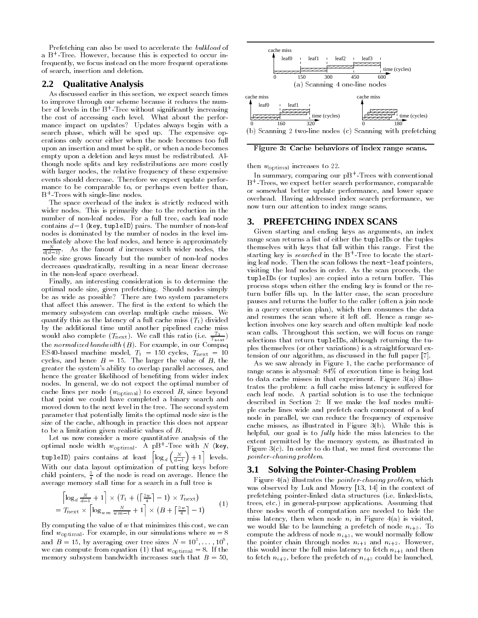Prefetching can also be used to accelerate the bulkload of a B+ -Tree. However, because this is expected to occur infrequently, we focus instead on the more frequent operations of search, insertion and deletion.

## **2.2 Qualitative Analysis**

As discussed earlier in this section, we expect search times to improve through our scheme because it reduces the num ber of levels in the B' - free without significantly increasing the cost of accessing each level. What about the performance impact on updates? Updates always begin with a search phase, which will be sped up. The expensive operations only occur either when the node becomes too full upon an insertion and must be split, or when a node becomes empty upon a deletion and keys must be redistributed. Although node splits and key redistributions are more costly with larger nodes, the relative frequency of these expensive events should decrease. Therefore we expect update performance to be comparable to, or perhaps even better than, B - Irees with single-line nodes.

The space overhead of the index is strictly reduced with wider nodes. This is primarily due to the reduction in the number of non-leaf nodes. For a full tree, each leaf node contains  $d-1$  (key, tupleID) pairs. The number of non-leaf nodes is dominated by the number of nodes in the level immediately above the leaf nodes, and hence is approximately  $\overline{d(d-1)}$ . As the fanout d increases with wider nodes, the node size grows linearly but the number of non-leaf nodes decreases quadratically, resulting in a near linear decrease in the non-leaf space overhead.

Finally, an interesting consideration is to determine the optimal node size, given prefetching. Should nodes simply be as wide as possible? There are two system parameters that affect this answer. The first is the extent to which the memory subsystem can overlap multiple cache misses. We quantify this as the latency of a full cache miss  $(T_1)$  divided by the additional time until another pipelined cache miss would also complete  $(T_{\text{next}})$ . We call this ratio (i.e.  $\frac{1}{T_{\text{next}}}$ ) the normalized bandwidth  $(B)$ . For example, in our Compaq  $\blacksquare$  . The model matrix  $\blacksquare$  . The  $\blacksquare$  is the  $\blacksquare$  the  $\blacksquare$  . The  $\blacksquare$ cycles, and hence  $B = 15$ . The larger the value of B, the greater the system's ability to overlap parallel accesses, and hence the greater likelihood of benefiting from wider index nodes. In general, we do not expect the optimal number of cache lines per node  $(w_{\text{optimal}})$  to exceed B, since beyond that point we could have completed a binary search and moved down to the next level in the tree. The second system parameter that potentially limits the optimal node size is the size of the cache, although in practice this does not appear to be a limitation given realistic values of B.

Let us now consider a more quantitative analysis of the optimal node width  $w_{\text{optimal}}$ . A pB+-free with N (key, tupleID) pairs contains at least  $\left\lceil \log_{d} \left( \frac{N}{d-1} \right) + 1 \right\rceil$  levels. With our data layout optimization of putting keys before child pointers,  $\frac{\tau}{4}$  of the node is read on average. Hence the average memory stall time for a search in a full tree is

$$
\begin{aligned}\n\left[\log_d \frac{N}{d-1} + 1\right] \times \left(T_1 + \left(\left\lceil \frac{3w}{4} \right\rceil - 1\right) \times T_{\text{next}}\right) \\
= T_{\text{next}} \times \left[\log_{wm} \frac{N}{wm-1} + 1\right] \times \left(B + \left\lceil \frac{3w}{4} \right\rceil - 1\n\end{aligned} \tag{1}
$$

By computing the value of  $w$  that minimizes this cost, we can nd woptimal . For example, in our simulations where  $\ldots$  = 8 and  $B = 15$ , by averaging over tree sizes  $N = 10^{\circ}, \dots, 10^{\circ},$ we can compute from equation (1) that woptimal  $=$  8. If the  $\sim$ memory subsystem bandwidth increases such that  $B = 50$ ,



Figure 3: Cache behaviors of index range scans.

then woptimal increases to 22.

In summary, comparing our pB+-Irees with conventional B+ -Trees, we expect better search performance, comparable or somewhat better update performance, and lower space overhead. Having addressed index search performance, we now turn our attention to index range scans.

#### **3. PREFETCHING INDEX SCANS**

Given starting and ending keys as arguments, an index range scan returns a list of either the tupleIDs or the tuples themselves with keys that fall within this range. First the starting Key is  ${searched}$  in the B+-Iree to locate the starting leaf node. Then the scan follows the next-leaf pointers, visiting the leaf nodes in order. As the scan proceeds, the tupleIDs (or tuples) are copied into a return buffer. This process stops when either the ending key is found or the return buffer fills up. In the latter case, the scan procedure pauses and returns the buffer to the caller (often a join node in a query execution plan), which then consumes the data and resumes the scan where it left off. Hence a range selection involves one key search and often multiple leaf node scan calls. Throughout this section, we will focus on range selections that return tupleIDs, although returning the tuples themselves (or other variations) is a straightforward extension of our algorithm, as discussed in the full paper [7].

As we saw already in Figure 1, the cache performance of range scans is abysmal: 84% of execution time is being lost to data cache misses in that experiment. Figure  $3(a)$  illustrates the problem: a full cache miss latency is suffered for each leaf node. A partial solution is to use the technique described in Section 2: If we make the leaf nodes multiple cache lines wide and prefetch each component of a leaf node in parallel, we can reduce the frequency of expensive cache misses, as illustrated in Figure 3(b). While this is helpful, our goal is to  $fully$  hide the miss latencies to the extent permitted by the memory system, as illustrated in Figure  $3(c)$ . In order to do that, we must first overcome the pointer-chasing problem.

#### **3.1 Solving the Pointer-Chasing Problem**

Figure  $4(a)$  illustrates the *pointer-chasing problem*, which was observed by Luk and Mowry [13, 14] in the context of prefetching pointer-linked data structures (i.e. linked-lists, trees, etc.) in general-purpose applications. Assuming that three nodes worth of computation are needed to hide the miss latency, then when node  $n_i$  in Figure 4(a) is visited, we would like to be launching a prefetch of node  $n_{i+3}$ . To compute the address of node  $n_{i+3}$ , we would normally follow the pointer chain through nodes  $n_{i+1}$  and  $n_{i+2}$ . However, this would incur the full miss latency to fetch  $n_{i+1}$  and then to fetch  $n_{i+2}$ , before the prefetch of  $n_{i+3}$  could be launched,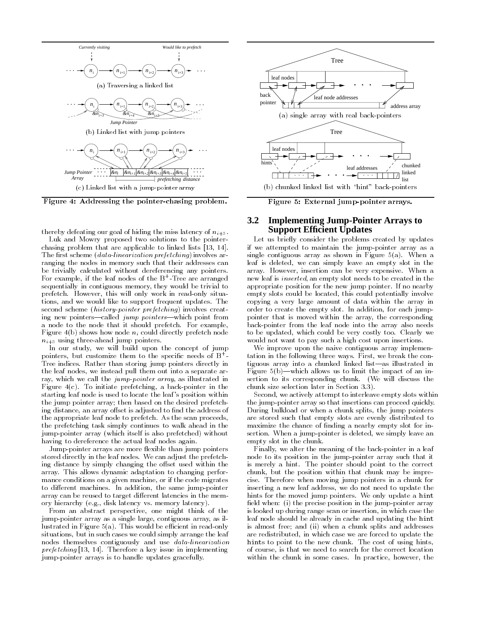

Figure 4: Addressing the pointer-chasing problem.

thereby defeating our goal of hiding the miss latency of  $n_{i+3}$ .

Luk and Mowry proposed two solutions to the pointerchasing problem that are applicable to linked lists [13, 14]. The first scheme (data-linearization prefetching) involves arranging the nodes in memory such that their addresses can be trivially calculated without dereferencing any pointers. For example, if the leaf nodes of the B+ -Tree are arranged sequentially in contiguous memory, they would be trivial to prefetch. However, this will only work in read-only situations, and we would like to support frequent updates. The second scheme (history-pointer prefetching) involves creating new pointers—called jump pointers—which point from a node to the node that it should prefetch. For example, Figure 4(b) shows how node  $n_i$  could directly prefetch node  $n_{i+3}$  using three-ahead jump pointers.

In our study, we will build upon the concept of jump pointers, but customize them to the specific needs of B+-Tree indices. Rather than storing jump pointers directly in the leaf nodes, we instead pull them out into a separate array, which we call the *jump-pointer array*, as illustrated in Figure  $4(c)$ . To initiate prefetching, a back-pointer in the starting leaf node is used to locate the leaf 's position within the jump pointer array; then based on the desired prefetching distance, an array offset is adjusted to find the address of the appropriate leaf node to prefetch. As the scan proceeds, the prefetching task simply continues to walk ahead in the jump-pointer array (which itself is also prefetched) without having to dereference the actual leaf nodes again.

Jump-pointer arrays are more flexible than jump pointers stored directly in the leaf nodes. We can adjust the prefetching distance by simply changing the offset used within the array. This allows dynamic adaptation to changing performance conditions on a given machine, or if the code migrates to different machines. In addition, the same jump-pointer array can be reused to target different latencies in the memory hierarchy (e.g., disk latency vs. memory latency).

From an abstract perspective, one might think of the jump-pointer array as a single large, contiguous array, as illustrated in Figure  $5(a)$ . This would be efficient in read-only situations, but in such cases we could simply arrange the leaf nodes themselves contiguously and use data-linearization prefetching [13, 14]. Therefore a key issue in implementing jump-pointer arrays is to handle updates gracefully.



# **3.2 Implementing Jump-Pointer Arrays to**

**Support Efficient Updates** Let us briefly consider the problems created by updates if we attempted to maintain the jump-pointer array as a single contiguous array as shown in Figure 5(a). When a leaf is deleted, we can simply leave an empty slot in the array. However, insertion can be very expensive. When a new leaf is inserted, an empty slot needs to be created in the appropriate position for the new jump pointer. If no nearby empty slots could be located, this could potentially involve copying a very large amount of data within the array in order to create the empty slot. In addition, for each jumppointer that is moved within the array, the corresponding back-pointer from the leaf node into the array also needs to be updated, which could be very costly too. Clearly we

We improve upon the naive contiguous array implementation in the following three ways. First, we break the contiguous array into a chunked linked list—as illustrated in Figure  $5(b)$ —which allows us to limit the impact of an insertion to its corresponding chunk. (We will discuss the chunk size selection later in Section 3.3).

would not want to pay such a high cost upon insertions.

Second, we actively attempt to interleave empty slots within the jump-pointer array so that insertions can proceed quickly. During bulkload or when a chunk splits, the jump pointers are stored such that empty slots are evenly distributed to maximize the chance of finding a nearby empty slot for insertion. When a jump-pointer is deleted, we simply leave an empty slot in the chunk.

Finally, we alter the meaning of the back-pointer in a leaf node to its position in the jump-pointer array such that it is merely a hint. The pointer should point to the correct chunk, but the position within that chunk may be imprecise. Therefore when moving jump pointers in a chunk for inserting a new leaf address, we do not need to update the hints for the moved jump pointers. We only update a hint field when: (i) the precise position in the jump-pointer array is looked up during range scan or insertion, in which case the leaf node should be already in cache and updating the hint is almost free; and (ii) when a chunk splits and addresses are redistributed, in which case we are forced to update the hints to point to the new chunk. The cost of using hints, of course, is that we need to search for the correct location within the chunk in some cases. In practice, however, the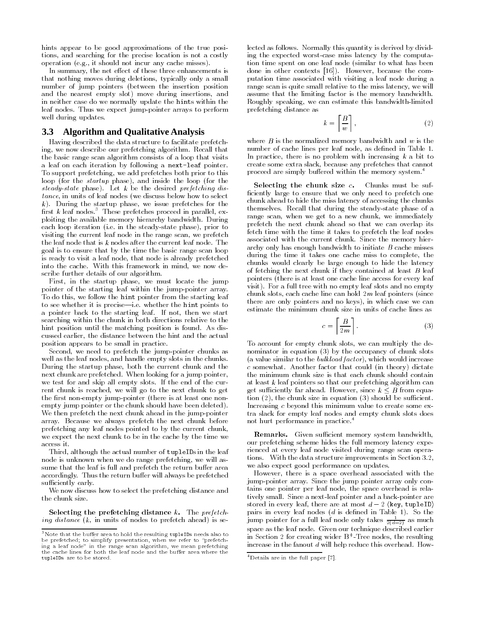hints appear to be good approximations of the true positions, and searching for the precise location is not a costly operation (e.g., it should not incur any cache misses).

In summary, the net effect of these three enhancements is that nothing moves during deletions, typically only a small number of jump pointers (between the insertion position and the nearest empty slot) move during insertions, and in neither case do we normally update the hints within the leaf nodes. Thus we expect jump-pointer arrays to perform well during updates.

#### **3.3 Algorithm and Qualitative Analysis**

Having described the data structure to facilitate prefetching, we now describe our prefetching algorithm. Recall that the basic range scan algorithm consists of a loop that visits a leaf on each iteration by following a next-leaf pointer. To support prefetching, we add prefetches both prior to this loop (for the startup phase), and inside the loop (for the steady-state phase). Let <sup>k</sup> be the desired prefetching distance, in units of leaf nodes (we discuss below how to select  $k$ ). During the startup phase, we issue prefetches for the first  $k$  leaf nodes.<sup>3</sup> These prefetches proceed in parallel, exploiting the available memory hierarchy bandwidth. During each loop iteration (i.e. in the steady-state phase), prior to visiting the current leaf node in the range scan, we prefetch the leaf node that is <sup>k</sup> nodes after the current leaf node. The goal is to ensure that by the time the basic range scan loop is ready to visit a leaf node, that node is already prefetched into the cache. With this framework in mind, we now describe further details of our algorithm.

First, in the startup phase, we must locate the jump pointer of the starting leaf within the jump-pointer array. To do this, we follow the hint pointer from the starting leaf to see whether it is precise—i.e. whether the hint points to a pointer back to the starting leaf. If not, then we start searching within the chunk in both directions relative to the hint position until the matching position is found. As discussed earlier, the distance between the hint and the actual position appears to be small in practice.

Second, we need to prefetch the jump-pointer chunks as well as the leaf nodes, and handle empty slots in the chunks. During the startup phase, both the current chunk and the next chunk are prefetched. When looking for a jump pointer, we test for and skip all empty slots. If the end of the current chunk is reached, we will go to the next chunk to get the first non-empty jump-pointer (there is at least one nonempty jump pointer or the chunk should have been deleted). We then prefetch the next chunk ahead in the jump-pointer array. Because we always prefetch the next chunk before prefetching any leaf nodes pointed to by the current chunk, we expect the next chunk to be in the cache by the time we access it.

Third, although the actual number of tupleIDs in the leaf node is unknown when we do range prefetching, we will assume that the leaf is full and prefetch the return buffer area accordingly. Thus the return buffer will always be prefetched sufficiently early.

We now discuss how to select the prefetching distance and the chunk size.

Selecting the prefetching distance  $k$ . The prefetching distance (k, in units of nodes to prefetch ahead) is selected as follows. Normally this quantity is derived by dividing the expected worst-case miss latency by the computation time spent on one leaf node (similar to what has been done in other contexts [16]). However, because the computation time associated with visiting a leaf node during a range scan is quite small relative to the miss latency, we will assume that the limiting factor is the memory bandwidth. Roughly speaking, we can estimate this bandwidth-limited prefetching distance as

$$
k = \left\lceil \frac{B}{w} \right\rceil,\tag{2}
$$

where  $B$  is the normalized memory bandwidth and  $w$  is the number of cache lines per leaf node, as defined in Table 1. In practice, there is no problem with increasing  $k$  a bit to create some extra slack, because any prefetches that cannot proceed are simply buffered within the memory system.<sup>4</sup>

Selecting the chunk size  $c$ . Chunks must be sufficiently large to ensure that we only need to prefetch one chunk ahead to hide the miss latency of accessing the chunks themselves. Recall that during the steady-state phase of a range scan, when we get to a new chunk, we immediately prefetch the next chunk ahead so that we can overlap its fetch time with the time it takes to prefetch the leaf nodes associated with the current chunk. Since the memory hierarchy only has enough bandwidth to initiate  $B$  cache misses during the time it takes one cache miss to complete, the chunks would clearly be large enough to hide the latency of fetching the next chunk if they contained at least  $B$  leaf pointers (there is at least one cache line access for every leaf visit). For a full tree with no empty leaf slots and no empty chunk slots, each cache line can hold  $2m$  leaf pointers (since there are only pointers and no keys), in which case we can estimate the minimum chunk size in units of cache lines as

$$
c = \left\lceil \frac{B}{2m} \right\rceil. \tag{3}
$$

To account for empty chunk slots, we can multiply the denominator in equation (3) by the occupancy of chunk slots (a value similar to the bulkload factor), which would increase <sup>c</sup> somewhat. Another factor that could (in theory) dictate the minimum chunk size is that each chunk should contain at least  $k$  leaf pointers so that our prefetching algorithm can get sufficiently far ahead. However, since  $k \leq B$  from equa- $\bar{\text{tion}}$  (2), the chunk size in equation (3) should be sufficient. Increasing c beyond this minimum value to create some extra slack for empty leaf nodes and empty chunk slots does not hurt performance in practice.4

Remarks. Given sufficient memory system bandwidth, our prefetching scheme hides the full memory latency experienced at every leaf node visited during range scan operations. With the data structure improvements in Section 3.2, we also expect good performance on updates.

However, there is a space overhead associated with the jump-pointer array. Since the jump pointer array only contains one pointer per leaf node, the space overhead is relatively small. Since a next-leaf pointer and a back-pointer are stored in every leaf, there are at most  $d-2$  (key, tupleID) pairs in every leaf nodes  $(d$  is defined in Table 1). So the jump pointer for a full leaf node only takes  $\frac{1}{2(d-2)}$  as much space as the leaf node. Given our technique described earlier in Section 2 for creating wider B+ -Tree nodes, the resulting increase in the fanout  $d$  will help reduce this overhead. How-

<sup>&</sup>quot; Note that the buffer area to hold the resulting tupleIDs needs also to be prefetched; to simplify presentation, when we refer to "prefetch-<br>ing a leaf node" in the range scan algorithm, we mean prefetching the cache lines for both the leaf node and the buffer area where the tupleID<sup>s</sup> are to be stored.

<sup>4</sup>Details are in the full paper [7].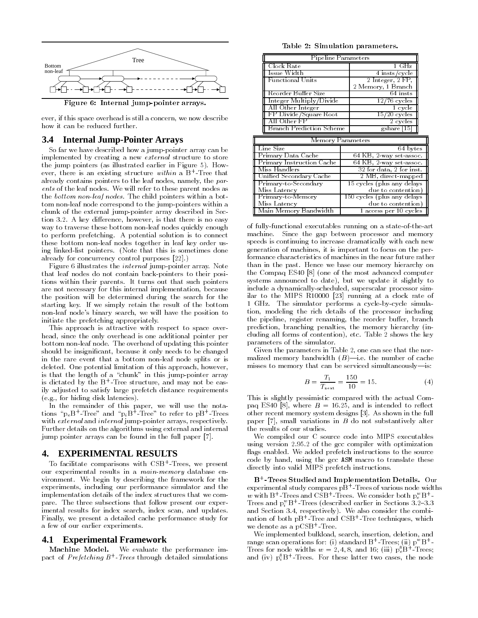

Figure 6: Internal jump-pointer arrays.

ever, if this space overhead is still a concern, we now describe how it can be reduced further.

## **3.4 Internal Jump-Pointer Arrays**

So far we have described how a jump-pointer array can be implemented by creating a new *external* structure to store the jump pointers (as illustrated earlier in Figure 5). However, there is an existing structure  $within$  a B'-free that  $\,$ already contains pointers to the leaf nodes, namely, the parents of the leaf nodes. We will refer to these parent nodes as the bottom non-leaf nodes. The child pointers within a bottom non-leaf node correspond to the jump-pointers within a chunk of the external jump-pointer array described in Section 3.2. A key difference, however, is that there is no easy way to traverse these bottom non-leaf nodes quickly enough to perform prefetching. A potential solution is to connect these bottom non-leaf nodes together in leaf key order using linked-list pointers. (Note that this is sometimes done already for concurrency control purposes [22].)

Figure 6 illustrates the internal jump-pointer array. Note that leaf nodes do not contain back-pointers to their positions within their parents. It turns out that such pointers are not necessary for this internal implementation, because the position will be determined during the search for the starting key. If we simply retain the result of the bottom non-leaf node's binary search, we will have the position to initiate the prefetching appropriately.

This approach is attractive with respect to space over head, since the only overhead is one additional pointer per bottom non-leaf node. The overhead of updating this pointer should be insignicant, because it only needs to be changed in the rare event that a bottom non-leaf node splits or is deleted. One potential limitation of this approach, however, is that the length of a "chunk" in this jump-pointer array is dictated by the B+-Iree structure, and may not be easily adjusted to satisfy large prefetch distance requirements (e.g., for hiding disk latencies).

tions  $\mathbf{p}_e^H$ -Tree" and  $\mathbf{p}_i^H$ -Tree" to refer to  $pB^+$ -Trees with external and internal jump-pointer arrays, respectively. Further details on the algorithms using external and internal jump pointer arrays can be found in the full paper [7].

## **4. EXPERIMENTAL RESULTS**

To facilitate comparisons with CSB+ -Trees, we present our experimental results in a main-memory database environment. We begin by describing the framework for the experiments, including our performance simulator and the implementation details of the index structures that we com pare. The three subsections that follow present our experimental results for index search, index scan, and updates. Finally, we present a detailed cache performance study for a few of our earlier experiments.

#### **4.1 Experimental Framework**

Machine Model. We evaluate the performance impact of *Prefetching B' - Irees* through detailed simulations

Table 2: Simulation parameters.

| Pipeline Parameters             |                    |
|---------------------------------|--------------------|
| Clock Rate                      | 1 GHz              |
| Issue Width                     | 4 insts/cycle      |
| <b>Functional Units</b>         | 2 Integer, 2 FP,   |
|                                 | 2 Memory, 1 Branch |
| Reorder Buffer Size             | 64 insts           |
| Integer Multiply/Divide         | $12/76$ cycles     |
| All Other Integer               | 1 cycle            |
| FP Divide/Square Root           | $15/20$ cycles     |
| All Other FP                    | 2 cycles           |
| <b>Branch Prediction Scheme</b> | gshare  15         |

|                           | Memory Parameters           |
|---------------------------|-----------------------------|
| Line Size                 | 64 bytes                    |
| Primary Data Cache        | 64 KB, 2-way set-assoc.     |
| Primary Instruction Cache | 64 KB, 2-way set-assoc.     |
| Miss Handlers             | 32 for data, 2 for inst.    |
| Unified Secondary Cache   | 2 MB, direct-mapped         |
| Primary-to-Secondary      | 15 cycles (plus any delays  |
| Miss Latency              | due to contention)          |
| Primary-to-Memory         | 150 cycles (plus any delays |
| Miss Latency              | due to contention)          |
| Main Memory Bandwidth     | 1 access per 10 cycles      |

of fully-functional executables running on a state-of-the-art machine. Since the gap between processor and memory speeds is continuing to increase dramatically with each new generation of machines, it is important to focus on the performance characteristics of machines in the near future rather than in the past. Hence we base our memory hierarchy on the Compaq ES40 [8] (one of the most advanced computer systems announced to date), but we update it slightly to include a dynamically-scheduled, superscalar processor similar to the MIPS R10000 [23] running at a clock rate of 1 GHz. The simulator performs a cycle-by-cycle simulation, modeling the rich details of the processor including the pipeline, register renaming, the reorder buffer, branch prediction, branching penalties, the memory hierarchy (including all forms of contention), etc. Table 2 shows the key parameters of the simulator.

Given the parameters in Table 2, one can see that the normalized memory bandwidth  $(B)$ —i.e. the number of cache misses to memory that can be serviced simultaneously-is:

$$
B = \frac{T_1}{T_{\text{next}}} = \frac{150}{10} = 15. \tag{4}
$$

This is slightly pessimistic compared with the actual Compaq ES40 [8], where  $B = 16.25$ , and is intended to reflect other recent memory system designs [3]. As shown in the full paper  $[7]$ , small variations in  $B$  do not substantively alter the results of our studies.

We compiled our C source code into MIPS executables using version 2.95.2 of the gcc compiler with optimization flags enabled. We added prefetch instructions to the source code by hand, using the gcc ASM macro to translate these directly into valid MIPS prefetch instructions.

B+ - Trees Studied and Implementation Details. Our experimental study compares pB+- frees of various node widths w with B+-trees and CSB+-trees. We consider both  $p_e$  B+-Trees and  $\bar{p}_i$  B  $\pm$  Trees (described earlier in Sections 3.2–3.3) and Section 3.4, respectively). We also consider the combination of both pB+-Iree and CSB+-Iree techniques, which we denote as a pUSB ' - Iree.

We implemented bulkload, search, insertion, deletion, and range scan operations for: (1) standard B+ - frees; (ii) p = B+ rees for node widths  $w = 2, 4, 8, 8$  and 16; (iii)  $p_e^*$ B+ - frees; and (iv)  $\bar{\mathbf{p}}_i$  B - Irees. For these latter two cases, the node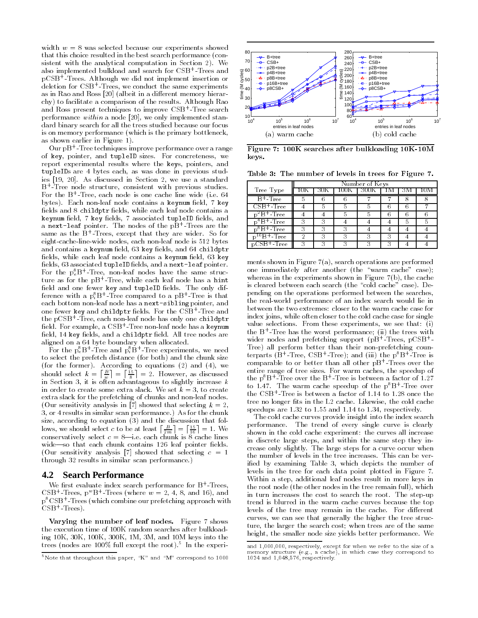width  $w = 8$  was selected because our experiments showed that this choice resulted in the best search performance (consistent with the analytical computation in Section 2). We also implemented bulkload and search for  $\cup$ SB+-frees and  $$ pCSB+ -Trees. Although we did not implement insertion or deletion for CSB+ -Trees, we conduct the same experiments as in Rao and Ross [20] (albeit in a different memory hierarchy) to facilitate a comparison of the results. Although Rao and Ross present techniques to improve CSB+-Iree search performance within a node [20], we only implemented standard binary search for all the trees studied because our focus is on memory performance (which is the primary bottleneck, as shown earlier in Figure 1).

Our pB+ -Tree techniques improve performance over a range of key, pointer, and tupleID sizes. For concreteness, we report experimental results where the keys, pointers, and tupleIDs are 4 bytes each, as was done in previous studies [19, 20]. As discussed in Section 2, we use a standard B - Iree node structure, consistent with previous studies. For the B+ -Tree, each node is one cache line wide (i.e. 64 bytes). Each non-leaf node contains a keynum field, 7 key fields and 8 childptr fields, while each leaf node contains a keynum field, 7 key fields, 7 associated tupleID fields, and a next-leaf pointer. The nodes of the pB+-Irees are the same as the B+-Irees, except that they are wider. So for eight-cache-line-wide nodes, each non-leaf node is 512 bytes and contains a keynum field, 63 key fields, and 64 childptr fields, while each leaf node contains a keynum field, 63 key fields, 63 associated tupleID fields, and a next-leaf pointer. ror the pab - free, non-leaf nodes have the same structure as for the pB+-iree, while each leaf node has a hint field and one fewer key and tupleID fields. The only difference with a  $\mathrm{p}_i^+$ B+-free compared to a pB+-free is that each bottom non-leaf node has a next-sibling pointer, and one fewer key and childptr fields. For the CSB+-Iree and the pCSB+ -Tree, each non-leaf node has only one childptr neld. For example, a CSB '-lree non-leaf node has a keynum field, 14 key fields, and a childptr field. All tree nodes are

For the  $p_e^8B^+$ -Tree and  $p_i^8B^+$ -Tree experiments, we need to select the prefetch distance (for both) and the chunk size (for the former). According to equations (2) and (4) and (4) and (4) and (4), we can expect to equations (2) and (4), we can expect to expect to equations (2) and (4), we can expect to expect the correlations (2) and (4), should select  $k = \left\lceil \frac{B}{w} \right\rceil =$ should select  $k = \left\lceil \frac{B}{w} \right\rceil = \left\lceil \frac{15}{8} \right\rceil = 2$ . However, as discussed<br>in Section 3, it is often advantageous to slightly increase k in order to create some extra slack. We set  $k = 3$ , to create extra slack for the prefetching of chunks and non-leaf nodes. (Our sensitivity analysis in [7] showed that selecting  $k = 2$ , 3, or 4 results in similar scan performance.) As for the chunk lows, we should select c to be at least  $\left[\frac{B}{2m}\right] = \left[\frac{15}{16}\right] = 1$ . We lows, we should select c to be at least  $\left\lceil \frac{B}{2m} \right\rceil = \left\lceil \frac{15}{16} \right\rceil = 1$ . We conservatively select  $c = 8$ —i.e. each chunk is 8 cache lines wide—so that each chunk contains 126 leaf pointer fields. (Our sensitivity analysis [7] showed that selecting  $c = 1$ through 32 results in similar scan performance.)

#### **4.2 Search Performance**

we first evaluate index search performance for B' - frees,  $\cup$  $\cup$ B + Irees, p $\cap$ B + Irees (where  $w = 2, 4, 8,$  and 16), and p=USB+-Irees (which combine our prefetching approach with CSB+ -Trees).

Varying the number of leaf nodes. Figure 7 shows the execution time of 100K random searches after bulkloading 10K, 30K, 100K, 300K, 1M, 3M, and 10M keys into the trees (nodes are 100% full except the root)." In the experi-



Figure 7: 100K searches after bulkloading 10K-10M keys.

Table 3: The number of levels in trees for Figure 7.

|                           | Number of Keys |   |   |   |   |   |  |  |  |  |
|---------------------------|----------------|---|---|---|---|---|--|--|--|--|
| Tree Type                 |                |   |   |   |   |   |  |  |  |  |
| $B+$ Tree                 |                |   |   |   |   | 8 |  |  |  |  |
| $CSB+$ -Tree              |                | 5 | 5 | 5 | 6 |   |  |  |  |  |
| $\overline{D^2B^+}$ -Tree |                |   | 5 | 5 | 6 | Р |  |  |  |  |
| $p^4B^+$ -Tree            | 3              | З |   |   |   | 5 |  |  |  |  |
| $p^8B^+$ -Tree            | З              | З | З |   |   |   |  |  |  |  |
| $5^{16}B^{+}$ Tree        | ച              | З | З | З | З |   |  |  |  |  |
| $pCSB^+$ -Tree            | 3              | З | З | З | З |   |  |  |  |  |

ments shown in Figure  $7(a)$ , search operations are performed one immediately after another (the \warm cache" case); whereas in the experiments shown in Figure 7(b), the cache is cleared between each search (the "cold cache" case). Depending on the operations performed between the searches, the real-world performance of an index search would lie in between the two extremes: closer to the warm cache case for index joins, while often closer to the cold cache case for single value selections. From these experiments, we see that: (i) the B+-Iree has the worst performance; (ii) the trees with wider nodes and prefetching support (pB+-frees, pCSB+-Tree) all perform better than their non-prefetching counterparts (B+ - Iree, CSB+ - Iree); and (iii) the p<sup>-</sup>B+ - Iree is comparable to or better than all other pB'-Irees over the the p<sup>8</sup>B<sup>+</sup>-Tree over the B<sup>+</sup>-Tree is between a factor of 1.27 to  $1.47.$  The warm cache speedup of the  $p^+B^+$  -free over the CSB+ -Tree is between a factor of 1.14 to 1.28 once the tree no longer fits in the L2 cache. Likewise, the cold cache speedups are 1.32 to 1.55 and 1.14 to 1.34, respectively.

The cold cache curves provide insight into the index search performance. The trend of every single curve is clearly shown in the cold cache experiment: the curves all increase in discrete large steps, and within the same step they increase only slightly. The large steps for a curve occur when the number of levels in the tree increases. This can be veried by examining Table 3, which depicts the number of levels in the tree for each data point plotted in Figure 7. Within a step, additional leaf nodes result in more keys in the root node (the other nodes in the tree remain full), which in turn increases the cost to search the root. The step-up trend is blurred in the warm cache curves because the top levels of the tree may remain in the cache. For different curves, we can see that generally the higher the tree structure, the larger the search cost; when trees are of the same height, the smaller node size yields better performance. We

 $5$ Note that throughout this paper, "K" and "M" correspond to 1000

and 1,000,000, respectively, except for when we refer to the size of amemory structure (e.g., a cache), in which case they correspond to1024 and 1,048,576, respectively.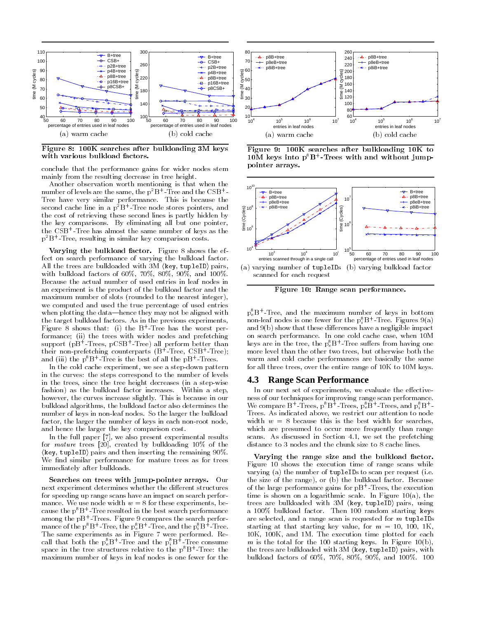

Figure 8: 100K searches after bulkloading 3M keys with various bulkload factors.

conclude that the performance gains for wider nodes stem mainly from the resulting decrease in tree height.

Another observation worth mentioning is that when the number of levels are the same, the p<sup>-</sup>B+ - free and the CSB+ -Tree have very similar performance. This is because the second cache line in a p<sup>-</sup>B' - Iree node stores pointers, and the cost of retrieving these second lines is partly hidden by the key comparisons. By eliminating all but one pointer, the USB+-Iree has almost the same number of keys as the p-B+-Iree, resulting in similar key comparison costs.

Varying the bulkload factor. Figure 8 shows the effect on search performance of varying the bulkload factor. All the trees are bulkloaded with 3M  $\langle$ key, tupleID $\rangle$  pairs, with bulkload factors of 60%, 70%, 80%, 90%, and 100%. Because the actual number of used entries in leaf nodes in an experiment is the product of the bulkload factor and the maximum number of slots (rounded to the nearest integer), we computed and used the true percentage of used entries when plotting the data-hence they may not be aligned with the target bulkload factors. As in the previous experiments, Figure 8 shows that: (i) the B+ -Tree has the worst performance; (ii) the trees with wider nodes and prefetching support (pB+-Irees, pCSB+-Iree) all perform better than their non-prefetching counterparts (B -lree, CSB -lree); and (iii) the p-B+ - free is the best of all the pB+ - frees.

In the cold cache experiment, we see a step-down pattern in the curves: the steps correspond to the number of levels in the trees, since the tree height decreases (in a step-wise fashion) as the bulkload factor increases. Within a step, however, the curves increase slightly. This is because in our bulkload algorithms, the bulkload factor also determines the number of keys in non-leaf nodes. So the larger the bulkload factor, the larger the number of keys in each non-root node, and hence the larger the key comparison cost.

In the full paper [7], we also present experimental results for mature trees [20], created by bulkloading 10% of the  $\langle$ key, tupleID $\rangle$  pairs and then inserting the remaining 90%. We find similar performance for mature trees as for trees immediately after bulkloads.

Searches on trees with jump-pointer arrays. Our next experiment determines whether the different structures for speeding up range scans have an impact on search performance. We use node width  $w = 8$  for these experiments, because the p<sup>-</sup>B' - Iree resulted in the best search performance<br>among the pB<sup>+</sup> -Trees. Figure 9 compares the search performance of the p $\mathsf{B}^*\mathbf{B}^*$  - Tree, the p $\mathsf{B}_e\mathbf{B}^*\text{--}$  Tree, and the p $\mathsf{B}^*\mathbf{B}^*\text{--}$  Tree. The same experiments as in Figure 7 were performed. Recall that both the  $\bar{\mathbf{p}_e}$  B  $^+$  - Iree and the  $\bar{\mathbf{p}_i}$  B  $^+$  - Iree consume  $s$ pace in the tree structures relative to the p $\,$  B  $\,$  - <code>iree: the  $\,$  - </code> maximum number of keys in leaf nodes is one fewer for the



Figure 9: 100K searches after bulkloading 10K to 10M keys into p8B+ -Trees with and without jumppointer arrays.



Figure 10: Range scan performance.

 $\mathrm{p}_{e}$ B' - Iree, and the maximum number of keys in bottom non-leaf nodes is one fewer for the  $\bar{\rm p_i}$  B  $^\prime$  - free. Figures 9(a) and  $9(b)$  show that these differences have a negligible impact on search performance. In one cold cache case, when 10M keys are in the tree, the  $\bar{\rm p_e}$ B - Iree suffers from having one more level than the other two trees, but otherwise both the warm and cold cache performances are basically the same for all three trees, over the entire range of 10K to 10M keys.

#### **4.3 Range Scan Performance**

In our next set of experiments, we evaluate the effectiveness of our techniques for improving range scan performance. We compare B  $-$  Trees, p $\bar{B}$   $\bar{B}$  - Trees, p $\bar{e}$ B  $-$  Trees, and p $\bar{i}$  B  $-$ Trees. As indicated above, we restrict our attention to node width  $w = 8$  because this is the best width for searches, which are presumed to occur more frequently than range scans. As discussed in Section 4.1, we set the prefetching distance to 3 nodes and the chunk size to 8 cache lines.

Varying the range size and the bulkload factor. Figure 10 shows the execution time of range scans while varying (a) the number of tupleIDs to scan per request (i.e. the size of the range), or (b) the bulkload factor. Because of the large performance gains for pB+-frees, the execution time is shown on a logarithmic scale. In Figure 10(a), the trees are bulkloaded with 3M (key, tupleID) pairs, using a 100% bulkload factor. Then 100 random starting keys are selected, and a range scan is requested for  $m$  tupleIDs starting at that starting key value, for  $m = 10, 100, 1K$ , 10K, 100K, and 1M. The execution time plotted for each m is the total for the 100 starting keys. In Figure 10(b), the trees are bulkloaded with  $3M$  (key, tupleID) pairs, with bulkload factors of 60%, 70%, 80%, 90%, and 100%. 100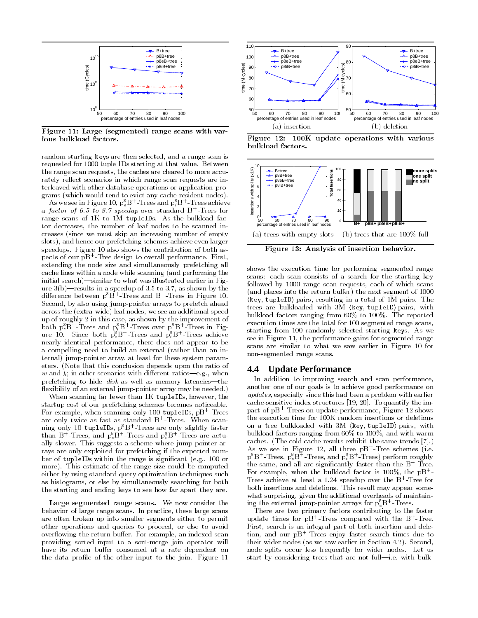

Figure 11: Large (segmented) range scans with various bulkload factors.

random starting keys are then selected, and a range scan is requested for 1000 tuple IDs starting at that value. Between the range scan requests, the caches are cleared to more accurately reflect scenarios in which range scan requests are interleaved with other database operations or application programs (which would tend to evict any cache-resident nodes).

As we see in Figure 10,  $p_e^*B$  ' - Irees and  $p_i^*B$  ' - Irees achieve a *factor of 6.5 to 8.7 speedup* over standard B' - frees for range scans of 1K to 1M tupleIDs. As the bulkload factor decreases, the number of leaf nodes to be scanned increases (since we must skip an increasing number of empty slots), and hence our prefetching schemes achieve even larger speedups. Figure 10 also shows the contribution of both aspects of our pB' - Iree design to overall performance. First, extending the node size and simultaneously prefetching all cache lines within a node while scanning (and performing the initial search)—similar to what was illustrated earlier in Figure  $3(b)$ —results in a speedup of 3.5 to 3.7, as shown by the difference between p~B+-lrees and B+-lrees in Figure 10. Second, by also using jump-pointer arrays to prefetch ahead across the (extra-wide) leaf nodes, we see an additional speedup of roughly 2 in this case, as shown by the improvement of both  $\bar{\mathbf{p}}_{e}$ B - Irees and  $\bar{\mathbf{p}}_{i}$  B - Irees over p°B - Irees in Figure 10. Since both  $\bar{\mathbf{p}_e} \mathbf{B}^*$  -Irees and  $\bar{\mathbf{p}_i} \mathbf{B}^*$  -Irees achieve nearly identical performance, there does not appear to be a compelling need to build an external (rather than an internal) jump-pointer array, at least for these system parameters. (Note that this conclusion depends upon the ratio of w and  $k$ ; in other scenarios with different ratios—e.g., when prefetching to hide  $disk$  as well as memory latencies—the flexibility of an external jump-pointer array may be needed.)

When scanning far fewer than 1K tupleIDs, however, the startup cost of our prefetching schemes becomes noticeable. For example, when scanning only 100 tupleIDs, pB+ -Trees are only twice as fast as standard B'-Irees. When scanning only 10 tupleIDs, p~B+-Irees are only slightly faster than B - Irees, and  $\bar{\rm p_e}$ B - Irees and  $\bar{\rm p_i}$  B - Irees are actually slower. This suggests a scheme where jump-pointer arrays are only exploited for prefetching if the expected num ber of tupleIDs within the range is signicant (e.g., 100 or more). This estimate of the range size could be computed either by using standard query optimization techniques such as histograms, or else by simultaneously searching for both the starting and ending keys to see how far apart they are.

Large segmented range scans. We now consider the behavior of large range scans. In practice, these large scans are often broken up into smaller segments either to permit other operations and queries to proceed, or else to avoid overflowing the return buffer. For example, an indexed scan providing sorted input to a sort-merge join operator will have its return buffer consumed at a rate dependent on the data profile of the other input to the join. Figure 11



Figure 12: 100K update operations with various bulkload factors.



Figure 13: Analysis of insertion behavior.

shows the execution time for performing segmented range scans: each scan consists of a search for the starting key followed by 1000 range scan requests, each of which scans  $($ and places into the return buffer $)$  the next segment of 1000  $\langle$ key, tupleID $\rangle$  pairs, resulting in a total of 1M pairs. The trees are bulkloaded with  $3M$  (key, tupleID) pairs, with bulkload factors ranging from 60% to 100%. The reported execution times are the total for 100 segmented range scans, starting from 100 randomly selected starting keys. As we see in Figure 11, the performance gains for segmented range scans are similar to what we saw earlier in Figure 10 for non-segmented range scans.

## **4.4 Update Performance**

In addition to improving search and scan performance, another one of our goals is to achieve good performance on updates, especially since this had been a problem with earlier cache-sensitive index structures [19, 20]. To quantify the impact of pB+-frees on update performance, Figure 12 shows the execution time for 100K random insertions or deletions on a tree bulkloaded with  $3M$  (key, tupleID) pairs, with bulkload factors ranging from 60% to 100%, and with warm caches. (The cold cache results exhibit the same trends [7].) As we see in Figure 12, all three pB+ -Tree schemes (i.e.  $p^+B^+$  - Irees,  $p_e^+B^+$  - Irees, and  $p_i^-B^+$  - Irees) perform roughly the same, and all are significantly faster than the B+-free. For example, when the bulkload factor is 100%, the pB+ - Trees achieve at least a 1.24 speedup over the B+ -Tree for both insertions and deletions. This result may appear somewhat surprising, given the additional overheads of maintaining the external jump-pointer arrays for  $\bar{\mathrm{p}}_{e} \mathrm{B}^*$  - frees.

There are two primary factors contributing to the faster update times for pB'-lrees compared with the B'-lree. First, search is an integral part of both insertion and deletion, and our pB+-irees enjoy faster search times due to their wider nodes (as we saw earlier in Section 4.2). Second, node splits occur less frequently for wider nodes. Let us start by considering trees that are not full-i.e. with bulk-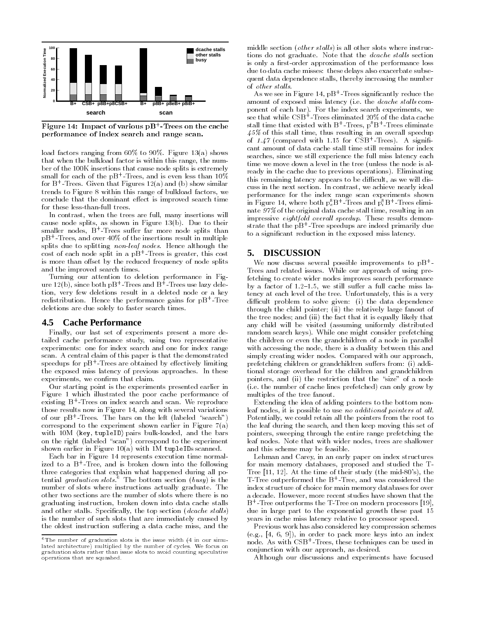

Figure 14: Impact of various pB+ -Trees on the cache performance of index search and range scan.

load factors ranging from 60% to 90%. Figure 13(a) shows that when the bulkload factor is within this range, the num ber of the 100K insertions that cause node splits is extremely small for each of the  $\rm{pB^{+}-1rees,}$  and is even less than  $10\%$ for B+ -Trees. Given that Figures 12(a) and (b) show similar trends to Figure 8 within this range of bulkload factors, we conclude that the dominant effect is improved search time for these less-than-full trees.

In contrast, when the trees are full, many insertions will cause node splits, as shown in Figure 13(b). Due to their smaller nodes, B'-Irees suffer far more node splits than  $pB<sup>+</sup>$ -Trees, and over 40% of the insertions result in multiple splits due to splitting *non-leaf nodes*. Hence although the cost of each node split in a pB+- frees is greater, this cost is more than offset by the reduced frequency of node splits and the improved search times.

Turning our attention to deletion performance in Figure 12(b), since both pB+- frees and B+- frees use lazy deletion, very few deletions result in a deleted node or a key redistribution. Hence the performance gains for pB+-free deletions are due solely to faster search times.

#### **4.5 Cache Performance**

Finally, our last set of experiments present a more detailed cache performance study, using two representative experiments: one for index search and one for index range scan. A central claim of this paper is that the demonstrated speedups for pB+- frees are obtained by effectively limiting the exposed miss latency of previous approaches. In these experiments, we confirm that claim.

Our starting point is the experiments presented earlier in Figure 1 which illustrated the poor cache performance of existing B' - Irees on index search and scan. We reproduce those results now in Figure 14, along with several variations of our pB - Irees. The bars on the left (labeled "search") correspond to the experiment shown earlier in Figure  $7(a)$ with 10M  $\langle$ key, tupleID $\rangle$  pairs bulk-loaded, and the bars on the right (labeled "scan") correspond to the experiment shown earlier in Figure 10(a) with 1M tupleIDs scanned.

Each bar in Figure 14 represents execution time normalized to a B'-Iree, and is broken down into the following three categories that explain what happened during all potential graduation slots.<sup>6</sup> The bottom section (busy) is the number of slots where instructions actually graduate. The other two sections are the number of slots where there is no graduating instruction, broken down into data cache stalls and other stalls. Specifically, the top section  $(dcache \, stalls)$ is the number of such slots that are immediately caused by the oldest instruction suffering a data cache miss, and the

middle section (other stalls) is all other slots where instructions do not graduate. Note that the *dcache stalls* section is only a first-order approximation of the performance loss due to data cache misses: these delays also exacerbate subsequent data dependence stalls, thereby increasing the number of other stalls.

As we see in Figure 14, pB+-Irees significantly reduce the amount of exposed miss latency (i.e. the *dcache stalls* component of each bar). For the index search experiments, we see that while CSB+-Irees eliminated 20% of the data cache stall time that existed with B' - Irees, p°B' - Irees eliminate  $45%$  of this stall time, thus resulting in an overall speedup of  $1.47$  (compared with 1.15 for  $\bigcirc$ B - Irees). A significant amount of data cache stall time still remains for index searches, since we still experience the full miss latency each time we move down a level in the tree (unless the node is already in the cache due to previous operations). Eliminating this remaining latency appears to be difficult, as we will discuss in the next section. In contrast, we achieve nearly ideal performance for the index range scan experiments shown in Figure 14, where both  $\bar{\rm p_e}$ B - Irees and  $\bar{\rm p_i}$ B - Irees eliminate 97% of the original data cache stall time, resulting in an impressive *eightfold overall speedup*. These results demonstrate that the pB+-Iree speedups are indeed primarily due to a signicant reduction in the exposed miss latency.

# **5. DISCUSSION**

We now discuss several possible improvements to pB+ - Trees and related issues. While our approach of using prefetching to create wider nodes improves search performance by a factor of  $1.2{-}1.5$ , we still suffer a full cache miss latency at each level of the tree. Unfortunately, this is a very difficult problem to solve given: (i) the data dependence through the child pointer; (ii) the relatively large fanout of the tree nodes; and (iii) the fact that it is equally likely that any child will be visited (assuming uniformly distributed random search keys). While one might consider prefetching the children or even the grandchildren of a node in parallel with accessing the node, there is a duality between this and simply creating wider nodes. Compared with our approach, prefetching children or grandchildren suffers from: (i) additional storage overhead for the children and grandchildren pointers, and (ii) the restriction that the "size" of a node (i.e. the number of cache lines prefetched) can only grow by multiples of the tree fanout.

Extending the idea of adding pointers to the bottom nonleaf nodes, it is possible to use no additional pointers at all. Potentially, we could retain all the pointers from the root to the leaf during the search, and then keep moving this set of pointers, sweeping through the entire range prefetching the leaf nodes. Note that with wider nodes, trees are shallower and this scheme may be feasible.

Lehman and Carey, in an early paper on index structures for main memory databases, proposed and studied the T-Tree [11, 12]. At the time of their study (the mid-80's), the T-Tree outperformed the B+ -Tree, and was considered the index structure of choice for main memory databases for over a decade. However, more recent studies have shown that the B+ - Tree outperforms the T-Tree on modern processors [19], due in large part to the exponential growth these past 15 years in cache miss latency relative to processor speed.

Previous work has also considered key compression schemes (e.g., [4, 6, 9]), in order to pack more keys into an index node. As with CSB'-Irees, these techniques can be used in conjunction with our approach, as desired.

Although our discussions and experiments have focused

<sup>&</sup>lt;sup>6</sup>The number of graduation slots is the issue width (4 in our simulated architecture) multiplied by the number of cycles. We focus ongraduation slots rather than issue slots to avoid counting speculativeoperations that are squashed.